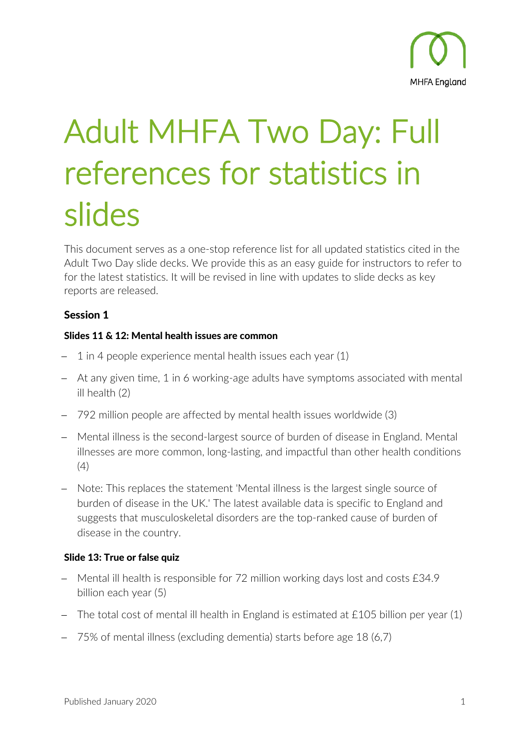

# Adult MHFA Two Day: Full references for statistics in slides States of the States This document serves as a one-stop reference list for all updated statistics cited in the

Adult Two Day slide decks. We provide this as an easy guide for instructors to refer to for the latest statistics. It will be revised in line with updates to slide decks as key reports are released.

## Session 1

### Slides 11 & 12: Mental health issues are common

- − 1 in 4 people experience mental health issues each year (1)
- − At any given time, 1 in 6 working-age adults have symptoms associated with mental ill health (2)
- − 792 million people are affected by mental health issues worldwide (3)
- − Mental illness is the second-largest source of burden of disease in England. Mental illnesses are more common, long-lasting, and impactful than other health conditions (4)
- − Note: This replaces the statement 'Mental illness is the largest single source of burden of disease in the UK.' The latest available data is specific to England and suggests that musculoskeletal disorders are the top-ranked cause of burden of disease in the country.

### Slide 13: True or false quiz

- − Mental ill health is responsible for 72 million working days lost and costs £34.9 billion each year (5)
- − The total cost of mental ill health in England is estimated at £105 billion per year (1)
- − 75% of mental illness (excluding dementia) starts before age 18 (6,7)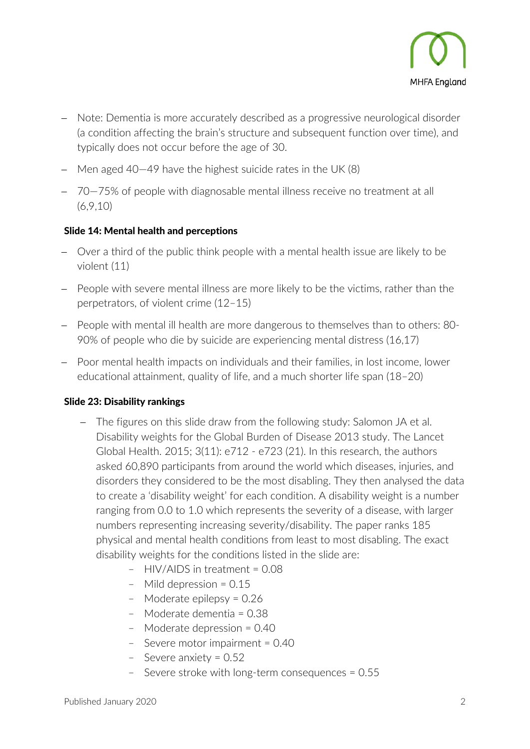

- − Note: Dementia is more accurately described as a progressive neurological disorder (a condition affecting the brain's structure and subsequent function over time), and typically does not occur before the age of 30.
- − Men aged 40—49 have the highest suicide rates in the UK (8)
- − 70—75% of people with diagnosable mental illness receive no treatment at all (6,9,10)

### Slide 14: Mental health and perceptions

- − Over a third of the public think people with a mental health issue are likely to be violent (11)
- − People with severe mental illness are more likely to be the victims, rather than the perpetrators, of violent crime (12–15)
- − People with mental ill health are more dangerous to themselves than to others: 80- 90% of people who die by suicide are experiencing mental distress (16,17)
- − Poor mental health impacts on individuals and their families, in lost income, lower educational attainment, quality of life, and a much shorter life span (18–20)

### Slide 23: Disability rankings

- − The figures on this slide draw from the following study: Salomon JA et al. Disability weights for the Global Burden of Disease 2013 study. The Lancet Global Health. 2015; 3(11): e712 - e723 (21). In this research, the authors asked 60,890 participants from around the world which diseases, injuries, and disorders they considered to be the most disabling. They then analysed the data to create a 'disability weight' for each condition. A disability weight is a number ranging from 0.0 to 1.0 which represents the severity of a disease, with larger numbers representing increasing severity/disability. The paper ranks 185 physical and mental health conditions from least to most disabling. The exact disability weights for the conditions listed in the slide are:
	- HIV/AIDS in treatment = 0.08
	- $-$  Mild depression = 0.15
	- Moderate epilepsy = 0.26
	- Moderate dementia = 0.38
	- Moderate depression = 0.40
	- Severe motor impairment = 0.40
	- Severe anxiety = 0.52
	- Severe stroke with long-term consequences = 0.55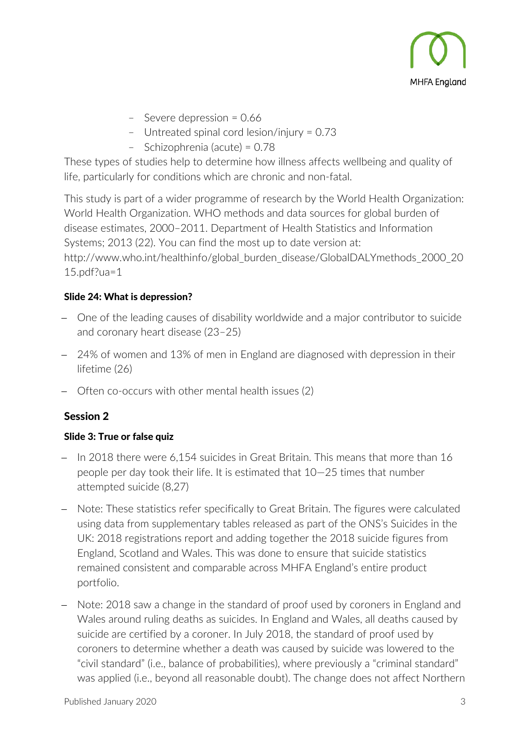

- Severe depression = 0.66
- Untreated spinal cord lesion/injury = 0.73
- Schizophrenia (acute) = 0.78

These types of studies help to determine how illness affects wellbeing and quality of life, particularly for conditions which are chronic and non-fatal.

This study is part of a wider programme of research by the World Health Organization: World Health Organization. WHO methods and data sources for global burden of disease estimates, 2000–2011. Department of Health Statistics and Information Systems; 2013 (22). You can find the most up to date version at: [http://www.who.int/healthinfo/global\\_burden\\_disease/GlobalDALYmethods\\_2000\\_20](http://www.who.int/healthinfo/global_burden_disease/GlobalDALYmethods_2000_2015.pdf?ua=1) [15.pdf?ua=1](http://www.who.int/healthinfo/global_burden_disease/GlobalDALYmethods_2000_2015.pdf?ua=1)

## Slide 24: What is depression?

- − One of the leading causes of disability worldwide and a major contributor to suicide and coronary heart disease (23–25)
- − 24% of women and 13% of men in England are diagnosed with depression in their lifetime (26)
- − Often co-occurs with other mental health issues (2)

# Session 2

## Slide 3: True or false quiz

- − In 2018 there were 6,154 suicides in Great Britain. This means that more than 16 people per day took their life. It is estimated that 10—25 times that number attempted suicide (8,27)
- − Note: These statistics refer specifically to Great Britain. The figures were calculated using data from supplementary tables released as part of the ONS's Suicides in the UK: 2018 registrations report and adding together the 2018 suicide figures from England, Scotland and Wales. This was done to ensure that suicide statistics remained consistent and comparable across MHFA England's entire product portfolio.
- − Note: 2018 saw a change in the standard of proof used by coroners in England and Wales around ruling deaths as suicides. In England and Wales, all deaths caused by suicide are certified by a coroner. In July 2018, the standard of proof used by coroners to determine whether a death was caused by suicide was lowered to the "civil standard" (i.e., balance of probabilities), where previously a "criminal standard" was applied (i.e., beyond all reasonable doubt). The change does not affect Northern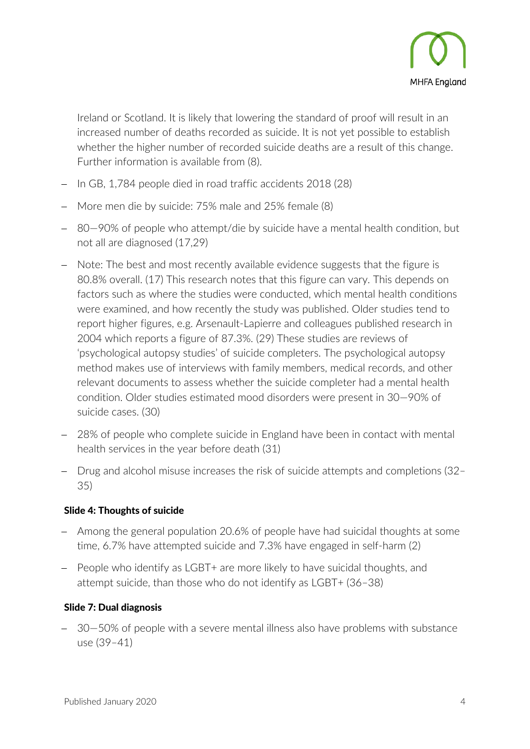

Ireland or Scotland. It is likely that lowering the standard of proof will result in an increased number of deaths recorded as suicide. It is not yet possible to establish whether the higher number of recorded suicide deaths are a result of this change. Further information is available from (8).

- In GB, 1,784 people died in road traffic accidents 2018 (28)
- − More men die by suicide: 75% male and 25% female (8)
- − 80—90% of people who attempt/die by suicide have a mental health condition, but not all are diagnosed (17,29)
- − Note: The best and most recently available evidence suggests that the figure is 80.8% overall. (17) This research notes that this figure can vary. This depends on factors such as where the studies were conducted, which mental health conditions were examined, and how recently the study was published. Older studies tend to report higher figures, e.g. Arsenault-Lapierre and colleagues published research in 2004 which reports a figure of 87.3%. (29) These studies are reviews of 'psychological autopsy studies' of suicide completers. The psychological autopsy method makes use of interviews with family members, medical records, and other relevant documents to assess whether the suicide completer had a mental health condition. Older studies estimated mood disorders were present in 30—90% of suicide cases. (30)
- − 28% of people who complete suicide in England have been in contact with mental health services in the year before death (31)
- − Drug and alcohol misuse increases the risk of suicide attempts and completions (32– 35)

### Slide 4: Thoughts of suicide

- − Among the general population 20.6% of people have had suicidal thoughts at some time, 6.7% have attempted suicide and 7.3% have engaged in self-harm (2)
- Feople who identify as LGBT+ are more likely to have suicidal thoughts, and attempt suicide, than those who do not identify as LGBT+ (36–38)

## Slide 7: Dual diagnosis

− 30—50% of people with a severe mental illness also have problems with substance use (39–41)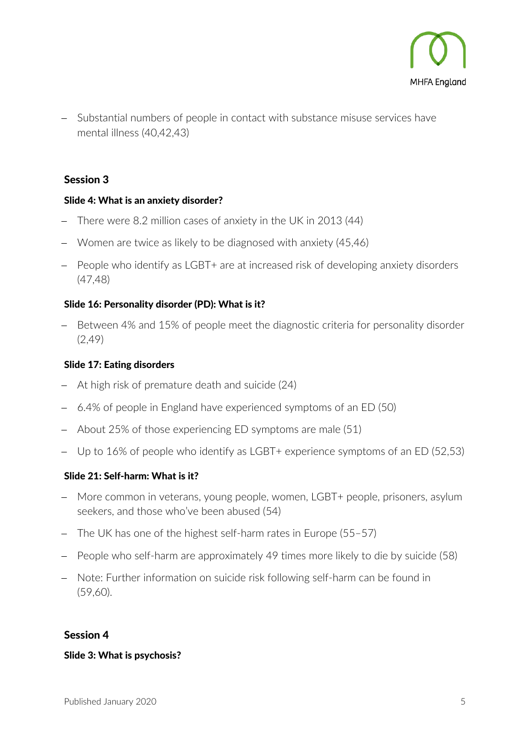

Substantial numbers of people in contact with substance misuse services have mental illness (40,42,43)

## Session 3

### Slide 4: What is an anxiety disorder?

- There were 8.2 million cases of anxiety in the UK in 2013 (44)
- − Women are twice as likely to be diagnosed with anxiety (45,46)
- − People who identify as LGBT+ are at increased risk of developing anxiety disorders (47,48)

#### Slide 16: Personality disorder (PD): What is it?

Between 4% and 15% of people meet the diagnostic criteria for personality disorder (2,49)

#### Slide 17: Eating disorders

- At high risk of premature death and suicide (24)
- − 6.4% of people in England have experienced symptoms of an ED (50)
- − About 25% of those experiencing ED symptoms are male (51)
- − Up to 16% of people who identify as LGBT+ experience symptoms of an ED (52,53)

### Slide 21: Self-harm: What is it?

- − More common in veterans, young people, women, LGBT+ people, prisoners, asylum seekers, and those who've been abused (54)
- − The UK has one of the highest self-harm rates in Europe (55–57)
- − People who self-harm are approximately 49 times more likely to die by suicide (58)
- − Note: Further information on suicide risk following self-harm can be found in (59,60).

#### Session 4

#### Slide 3: What is psychosis?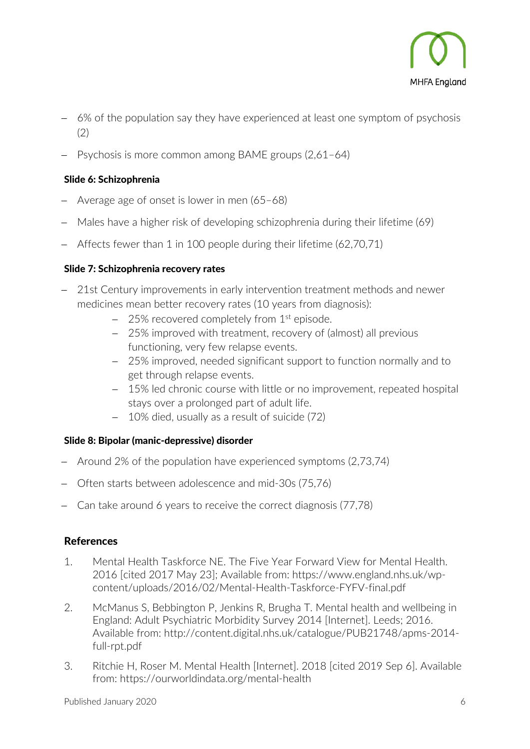

- − 6% of the population say they have experienced at least one symptom of psychosis  $(2)$
- − Psychosis is more common among BAME groups (2,61–64)

## Slide 6: Schizophrenia

- − Average age of onset is lower in men (65–68)
- − Males have a higher risk of developing schizophrenia during their lifetime (69)
- − Affects fewer than 1 in 100 people during their lifetime (62,70,71)

### Slide 7: Schizophrenia recovery rates

- 21st Century improvements in early intervention treatment methods and newer medicines mean better recovery rates (10 years from diagnosis):
	- − 25% recovered completely from 1st episode.
	- − 25% improved with treatment, recovery of (almost) all previous functioning, very few relapse events.
	- − 25% improved, needed significant support to function normally and to get through relapse events.
	- − 15% led chronic course with little or no improvement, repeated hospital stays over a prolonged part of adult life.
	- − 10% died, usually as a result of suicide (72)

### Slide 8: Bipolar (manic-depressive) disorder

- − Around 2% of the population have experienced symptoms (2,73,74)
- − Often starts between adolescence and mid-30s (75,76)
- − Can take around 6 years to receive the correct diagnosis (77,78)

### References

- 1. Mental Health Taskforce NE. The Five Year Forward View for Mental Health. 2016 [cited 2017 May 23]; Available from: https://www.england.nhs.uk/wpcontent/uploads/2016/02/Mental-Health-Taskforce-FYFV-final.pdf
- 2. McManus S, Bebbington P, Jenkins R, Brugha T. Mental health and wellbeing in England: Adult Psychiatric Morbidity Survey 2014 [Internet]. Leeds; 2016. Available from: http://content.digital.nhs.uk/catalogue/PUB21748/apms-2014 full-rpt.pdf
- 3. Ritchie H, Roser M. Mental Health [Internet]. 2018 [cited 2019 Sep 6]. Available from: https://ourworldindata.org/mental-health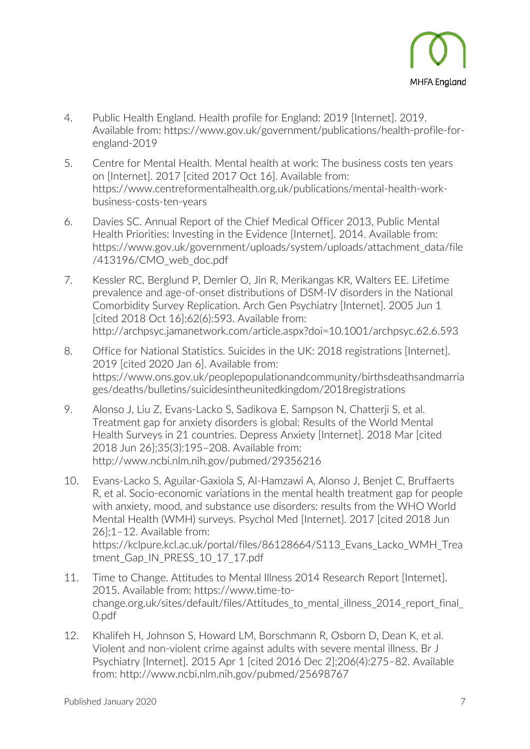

- 4. Public Health England. Health profile for England: 2019 [Internet]. 2019. Available from: https://www.gov.uk/government/publications/health-profile-forengland-2019
- 5. Centre for Mental Health. Mental health at work: The business costs ten years on [Internet]. 2017 [cited 2017 Oct 16]. Available from: https://www.centreformentalhealth.org.uk/publications/mental-health-workbusiness-costs-ten-years
- 6. Davies SC. Annual Report of the Chief Medical Officer 2013, Public Mental Health Priorities: Investing in the Evidence [Internet]. 2014. Available from: https://www.gov.uk/government/uploads/system/uploads/attachment\_data/file /413196/CMO\_web\_doc.pdf
- 7. Kessler RC, Berglund P, Demler O, Jin R, Merikangas KR, Walters EE. Lifetime prevalence and age-of-onset distributions of DSM-IV disorders in the National Comorbidity Survey Replication. Arch Gen Psychiatry [Internet]. 2005 Jun 1 [cited 2018 Oct 16];62(6):593. Available from: http://archpsyc.jamanetwork.com/article.aspx?doi=10.1001/archpsyc.62.6.593
- 8. Office for National Statistics. Suicides in the UK: 2018 registrations [Internet]. 2019 [cited 2020 Jan 6]. Available from: https://www.ons.gov.uk/peoplepopulationandcommunity/birthsdeathsandmarria ges/deaths/bulletins/suicidesintheunitedkingdom/2018registrations
- 9. Alonso J, Liu Z, Evans-Lacko S, Sadikova E, Sampson N, Chatterji S, et al. Treatment gap for anxiety disorders is global: Results of the World Mental Health Surveys in 21 countries. Depress Anxiety [Internet]. 2018 Mar [cited 2018 Jun 26];35(3):195–208. Available from: http://www.ncbi.nlm.nih.gov/pubmed/29356216
- 10. Evans-Lacko S, Aguilar-Gaxiola S, Al-Hamzawi A, Alonso J, Benjet C, Bruffaerts R, et al. Socio-economic variations in the mental health treatment gap for people with anxiety, mood, and substance use disorders: results from the WHO World Mental Health (WMH) surveys. Psychol Med [Internet]. 2017 [cited 2018 Jun 26];1–12. Available from: https://kclpure.kcl.ac.uk/portal/files/86128664/S113 Evans Lacko WMH Trea tment\_Gap\_IN\_PRESS\_10\_17\_17.pdf
- 11. Time to Change. Attitudes to Mental Illness 2014 Research Report [Internet]. 2015. Available from: https://www.time-tochange.org.uk/sites/default/files/Attitudes to mental illness 2014 report final 0.pdf
- 12. Khalifeh H, Johnson S, Howard LM, Borschmann R, Osborn D, Dean K, et al. Violent and non-violent crime against adults with severe mental illness. Br J Psychiatry [Internet]. 2015 Apr 1 [cited 2016 Dec 2];206(4):275–82. Available from: http://www.ncbi.nlm.nih.gov/pubmed/25698767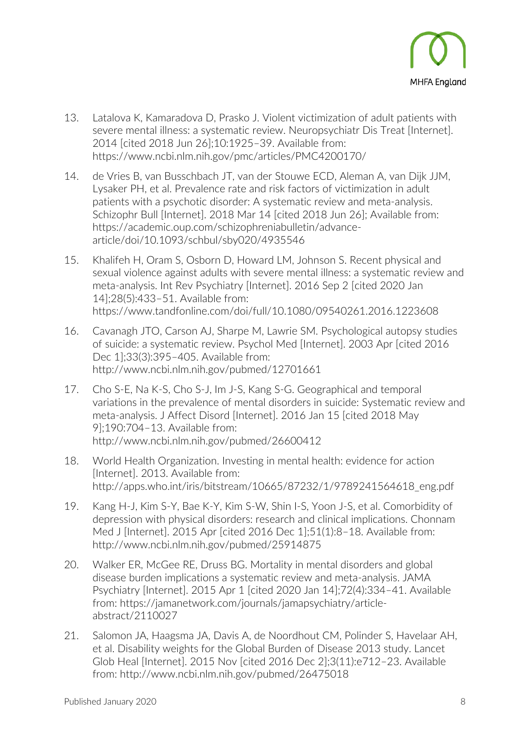

- 13. Latalova K, Kamaradova D, Prasko J. Violent victimization of adult patients with severe mental illness: a systematic review. Neuropsychiatr Dis Treat [Internet]. 2014 [cited 2018 Jun 26];10:1925–39. Available from: https://www.ncbi.nlm.nih.gov/pmc/articles/PMC4200170/
- 14. de Vries B, van Busschbach JT, van der Stouwe ECD, Aleman A, van Dijk JJM, Lysaker PH, et al. Prevalence rate and risk factors of victimization in adult patients with a psychotic disorder: A systematic review and meta-analysis. Schizophr Bull [Internet]. 2018 Mar 14 [cited 2018 Jun 26]; Available from: https://academic.oup.com/schizophreniabulletin/advancearticle/doi/10.1093/schbul/sby020/4935546
- 15. Khalifeh H, Oram S, Osborn D, Howard LM, Johnson S. Recent physical and sexual violence against adults with severe mental illness: a systematic review and meta-analysis. Int Rev Psychiatry [Internet]. 2016 Sep 2 [cited 2020 Jan 14];28(5):433–51. Available from: https://www.tandfonline.com/doi/full/10.1080/09540261.2016.1223608
- 16. Cavanagh JTO, Carson AJ, Sharpe M, Lawrie SM. Psychological autopsy studies of suicide: a systematic review. Psychol Med [Internet]. 2003 Apr [cited 2016 Dec 1];33(3):395–405. Available from: http://www.ncbi.nlm.nih.gov/pubmed/12701661
- 17. Cho S-E, Na K-S, Cho S-J, Im J-S, Kang S-G. Geographical and temporal variations in the prevalence of mental disorders in suicide: Systematic review and meta-analysis. J Affect Disord [Internet]. 2016 Jan 15 [cited 2018 May 9];190:704–13. Available from: http://www.ncbi.nlm.nih.gov/pubmed/26600412
- 18. World Health Organization. Investing in mental health: evidence for action [Internet]. 2013. Available from: http://apps.who.int/iris/bitstream/10665/87232/1/9789241564618\_eng.pdf
- 19. Kang H-J, Kim S-Y, Bae K-Y, Kim S-W, Shin I-S, Yoon J-S, et al. Comorbidity of depression with physical disorders: research and clinical implications. Chonnam Med J [Internet]. 2015 Apr [cited 2016 Dec 1];51(1):8–18. Available from: http://www.ncbi.nlm.nih.gov/pubmed/25914875
- 20. Walker ER, McGee RE, Druss BG. Mortality in mental disorders and global disease burden implications a systematic review and meta-analysis. JAMA Psychiatry [Internet]. 2015 Apr 1 [cited 2020 Jan 14];72(4):334–41. Available from: https://jamanetwork.com/journals/jamapsychiatry/articleabstract/2110027
- 21. Salomon JA, Haagsma JA, Davis A, de Noordhout CM, Polinder S, Havelaar AH, et al. Disability weights for the Global Burden of Disease 2013 study. Lancet Glob Heal [Internet]. 2015 Nov [cited 2016 Dec 2];3(11):e712–23. Available from: http://www.ncbi.nlm.nih.gov/pubmed/26475018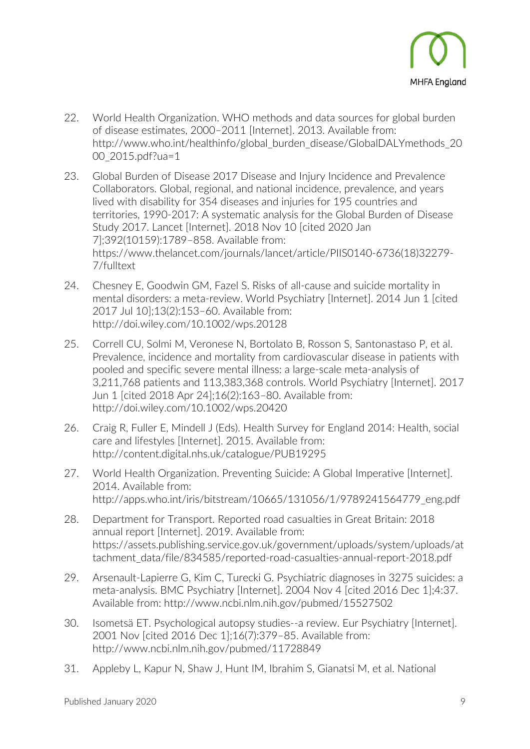

- 22. World Health Organization. WHO methods and data sources for global burden of disease estimates, 2000–2011 [Internet]. 2013. Available from: http://www.who.int/healthinfo/global\_burden\_disease/GlobalDALYmethods\_20 00\_2015.pdf?ua=1
- 23. Global Burden of Disease 2017 Disease and Injury Incidence and Prevalence Collaborators. Global, regional, and national incidence, prevalence, and years lived with disability for 354 diseases and injuries for 195 countries and territories, 1990-2017: A systematic analysis for the Global Burden of Disease Study 2017. Lancet [Internet]. 2018 Nov 10 [cited 2020 Jan 7];392(10159):1789–858. Available from: https://www.thelancet.com/journals/lancet/article/PIIS0140-6736(18)32279- 7/fulltext
- 24. Chesney E, Goodwin GM, Fazel S. Risks of all-cause and suicide mortality in mental disorders: a meta-review. World Psychiatry [Internet]. 2014 Jun 1 [cited 2017 Jul 10];13(2):153–60. Available from: http://doi.wiley.com/10.1002/wps.20128
- 25. Correll CU, Solmi M, Veronese N, Bortolato B, Rosson S, Santonastaso P, et al. Prevalence, incidence and mortality from cardiovascular disease in patients with pooled and specific severe mental illness: a large-scale meta-analysis of 3,211,768 patients and 113,383,368 controls. World Psychiatry [Internet]. 2017 Jun 1 [cited 2018 Apr 24];16(2):163–80. Available from: http://doi.wiley.com/10.1002/wps.20420
- 26. Craig R, Fuller E, Mindell J (Eds). Health Survey for England 2014: Health, social care and lifestyles [Internet]. 2015. Available from: http://content.digital.nhs.uk/catalogue/PUB19295
- 27. World Health Organization. Preventing Suicide: A Global Imperative [Internet]. 2014. Available from: http://apps.who.int/iris/bitstream/10665/131056/1/9789241564779\_eng.pdf
- 28. Department for Transport. Reported road casualties in Great Britain: 2018 annual report [Internet]. 2019. Available from: https://assets.publishing.service.gov.uk/government/uploads/system/uploads/at tachment\_data/file/834585/reported-road-casualties-annual-report-2018.pdf
- 29. Arsenault-Lapierre G, Kim C, Turecki G. Psychiatric diagnoses in 3275 suicides: a meta-analysis. BMC Psychiatry [Internet]. 2004 Nov 4 [cited 2016 Dec 1];4:37. Available from: http://www.ncbi.nlm.nih.gov/pubmed/15527502
- 30. Isometsä ET. Psychological autopsy studies--a review. Eur Psychiatry [Internet]. 2001 Nov [cited 2016 Dec 1];16(7):379–85. Available from: http://www.ncbi.nlm.nih.gov/pubmed/11728849
- 31. Appleby L, Kapur N, Shaw J, Hunt IM, Ibrahim S, Gianatsi M, et al. National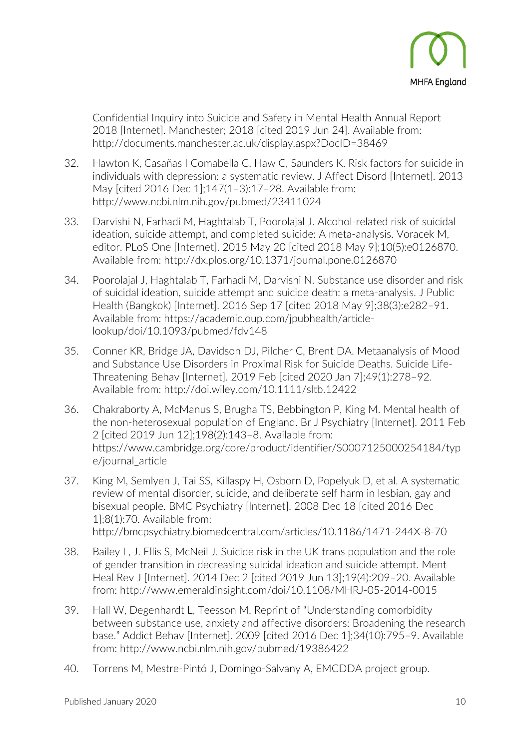

Confidential Inquiry into Suicide and Safety in Mental Health Annual Report 2018 [Internet]. Manchester; 2018 [cited 2019 Jun 24]. Available from: http://documents.manchester.ac.uk/display.aspx?DocID=38469

- 32. Hawton K, Casañas I Comabella C, Haw C, Saunders K. Risk factors for suicide in individuals with depression: a systematic review. J Affect Disord [Internet]. 2013 May [cited 2016 Dec 1];147(1–3):17–28. Available from: http://www.ncbi.nlm.nih.gov/pubmed/23411024
- 33. Darvishi N, Farhadi M, Haghtalab T, Poorolajal J. Alcohol-related risk of suicidal ideation, suicide attempt, and completed suicide: A meta-analysis. Voracek M, editor. PLoS One [Internet]. 2015 May 20 [cited 2018 May 9];10(5):e0126870. Available from: http://dx.plos.org/10.1371/journal.pone.0126870
- 34. Poorolajal J, Haghtalab T, Farhadi M, Darvishi N. Substance use disorder and risk of suicidal ideation, suicide attempt and suicide death: a meta-analysis. J Public Health (Bangkok) [Internet]. 2016 Sep 17 [cited 2018 May 9];38(3):e282–91. Available from: https://academic.oup.com/jpubhealth/articlelookup/doi/10.1093/pubmed/fdv148
- 35. Conner KR, Bridge JA, Davidson DJ, Pilcher C, Brent DA. Metaanalysis of Mood and Substance Use Disorders in Proximal Risk for Suicide Deaths. Suicide Life-Threatening Behav [Internet]. 2019 Feb [cited 2020 Jan 7];49(1):278–92. Available from: http://doi.wiley.com/10.1111/sltb.12422
- 36. Chakraborty A, McManus S, Brugha TS, Bebbington P, King M. Mental health of the non-heterosexual population of England. Br J Psychiatry [Internet]. 2011 Feb 2 [cited 2019 Jun 12];198(2):143–8. Available from: https://www.cambridge.org/core/product/identifier/S0007125000254184/typ e/journal\_article
- 37. King M, Semlyen J, Tai SS, Killaspy H, Osborn D, Popelyuk D, et al. A systematic review of mental disorder, suicide, and deliberate self harm in lesbian, gay and bisexual people. BMC Psychiatry [Internet]. 2008 Dec 18 [cited 2016 Dec 1];8(1):70. Available from: http://bmcpsychiatry.biomedcentral.com/articles/10.1186/1471-244X-8-70
- 38. Bailey L, J. Ellis S, McNeil J. Suicide risk in the UK trans population and the role of gender transition in decreasing suicidal ideation and suicide attempt. Ment Heal Rev J [Internet]. 2014 Dec 2 [cited 2019 Jun 13];19(4):209–20. Available from: http://www.emeraldinsight.com/doi/10.1108/MHRJ-05-2014-0015
- 39. Hall W, Degenhardt L, Teesson M. Reprint of "Understanding comorbidity between substance use, anxiety and affective disorders: Broadening the research base." Addict Behav [Internet]. 2009 [cited 2016 Dec 1];34(10):795–9. Available from: http://www.ncbi.nlm.nih.gov/pubmed/19386422
- 40. Torrens M, Mestre-Pintó J, Domingo-Salvany A, EMCDDA project group.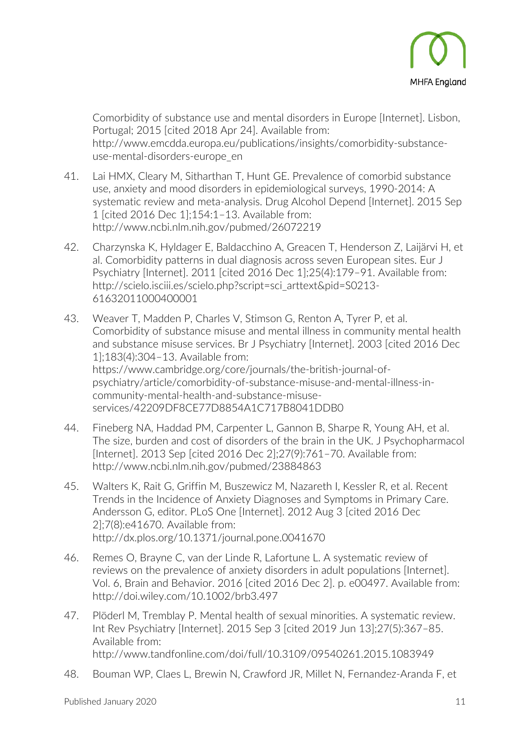

Comorbidity of substance use and mental disorders in Europe [Internet]. Lisbon, Portugal; 2015 [cited 2018 Apr 24]. Available from: http://www.emcdda.europa.eu/publications/insights/comorbidity-substanceuse-mental-disorders-europe\_en

- 41. Lai HMX, Cleary M, Sitharthan T, Hunt GE. Prevalence of comorbid substance use, anxiety and mood disorders in epidemiological surveys, 1990-2014: A systematic review and meta-analysis. Drug Alcohol Depend [Internet]. 2015 Sep 1 [cited 2016 Dec 1];154:1–13. Available from: http://www.ncbi.nlm.nih.gov/pubmed/26072219
- 42. Charzynska K, Hyldager E, Baldacchino A, Greacen T, Henderson Z, Laijärvi H, et al. Comorbidity patterns in dual diagnosis across seven European sites. Eur J Psychiatry [Internet]. 2011 [cited 2016 Dec 1];25(4):179–91. Available from: http://scielo.isciii.es/scielo.php?script=sci\_arttext&pid=S0213- 61632011000400001
- 43. Weaver T, Madden P, Charles V, Stimson G, Renton A, Tyrer P, et al. Comorbidity of substance misuse and mental illness in community mental health and substance misuse services. Br J Psychiatry [Internet]. 2003 [cited 2016 Dec 1];183(4):304–13. Available from: https://www.cambridge.org/core/journals/the-british-journal-ofpsychiatry/article/comorbidity-of-substance-misuse-and-mental-illness-incommunity-mental-health-and-substance-misuseservices/42209DF8CE77D8854A1C717B8041DDB0
- 44. Fineberg NA, Haddad PM, Carpenter L, Gannon B, Sharpe R, Young AH, et al. The size, burden and cost of disorders of the brain in the UK. J Psychopharmacol [Internet]. 2013 Sep [cited 2016 Dec 2];27(9):761–70. Available from: http://www.ncbi.nlm.nih.gov/pubmed/23884863
- 45. Walters K, Rait G, Griffin M, Buszewicz M, Nazareth I, Kessler R, et al. Recent Trends in the Incidence of Anxiety Diagnoses and Symptoms in Primary Care. Andersson G, editor. PLoS One [Internet]. 2012 Aug 3 [cited 2016 Dec 2];7(8):e41670. Available from: http://dx.plos.org/10.1371/journal.pone.0041670
- 46. Remes O, Brayne C, van der Linde R, Lafortune L. A systematic review of reviews on the prevalence of anxiety disorders in adult populations [Internet]. Vol. 6, Brain and Behavior. 2016 [cited 2016 Dec 2]. p. e00497. Available from: http://doi.wiley.com/10.1002/brb3.497
- 47. Plöderl M, Tremblay P. Mental health of sexual minorities. A systematic review. Int Rev Psychiatry [Internet]. 2015 Sep 3 [cited 2019 Jun 13];27(5):367–85. Available from: http://www.tandfonline.com/doi/full/10.3109/09540261.2015.1083949
- 48. Bouman WP, Claes L, Brewin N, Crawford JR, Millet N, Fernandez-Aranda F, et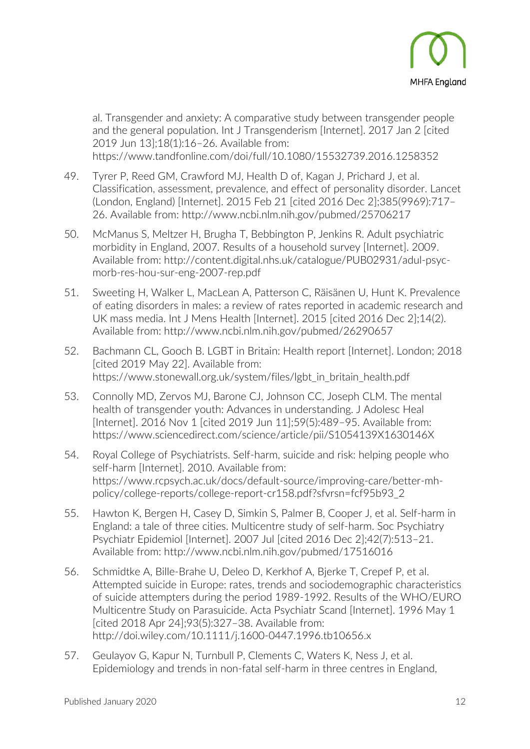

al. Transgender and anxiety: A comparative study between transgender people and the general population. Int J Transgenderism [Internet]. 2017 Jan 2 [cited 2019 Jun 13];18(1):16–26. Available from: https://www.tandfonline.com/doi/full/10.1080/15532739.2016.1258352

- 49. Tyrer P, Reed GM, Crawford MJ, Health D of, Kagan J, Prichard J, et al. Classification, assessment, prevalence, and effect of personality disorder. Lancet (London, England) [Internet]. 2015 Feb 21 [cited 2016 Dec 2];385(9969):717– 26. Available from: http://www.ncbi.nlm.nih.gov/pubmed/25706217
- 50. McManus S, Meltzer H, Brugha T, Bebbington P, Jenkins R. Adult psychiatric morbidity in England, 2007. Results of a household survey [Internet]. 2009. Available from: http://content.digital.nhs.uk/catalogue/PUB02931/adul-psycmorb-res-hou-sur-eng-2007-rep.pdf
- 51. Sweeting H, Walker L, MacLean A, Patterson C, Räisänen U, Hunt K. Prevalence of eating disorders in males: a review of rates reported in academic research and UK mass media. Int J Mens Health [Internet]. 2015 [cited 2016 Dec 2];14(2). Available from: http://www.ncbi.nlm.nih.gov/pubmed/26290657
- 52. Bachmann CL, Gooch B. LGBT in Britain: Health report [Internet]. London; 2018 [cited 2019 May 22]. Available from: https://www.stonewall.org.uk/system/files/lgbt\_in\_britain\_health.pdf
- 53. Connolly MD, Zervos MJ, Barone CJ, Johnson CC, Joseph CLM. The mental health of transgender youth: Advances in understanding. J Adolesc Heal [Internet]. 2016 Nov 1 [cited 2019 Jun 11];59(5):489–95. Available from: https://www.sciencedirect.com/science/article/pii/S1054139X1630146X
- 54. Royal College of Psychiatrists. Self-harm, suicide and risk: helping people who self-harm [Internet]. 2010. Available from: https://www.rcpsych.ac.uk/docs/default-source/improving-care/better-mhpolicy/college-reports/college-report-cr158.pdf?sfvrsn=fcf95b93\_2
- 55. Hawton K, Bergen H, Casey D, Simkin S, Palmer B, Cooper J, et al. Self-harm in England: a tale of three cities. Multicentre study of self-harm. Soc Psychiatry Psychiatr Epidemiol [Internet]. 2007 Jul [cited 2016 Dec 2];42(7):513–21. Available from: http://www.ncbi.nlm.nih.gov/pubmed/17516016
- 56. Schmidtke A, Bille-Brahe U, Deleo D, Kerkhof A, Bjerke T, Crepef P, et al. Attempted suicide in Europe: rates, trends and sociodemographic characteristics of suicide attempters during the period 1989-1992. Results of the WHO/EURO Multicentre Study on Parasuicide. Acta Psychiatr Scand [Internet]. 1996 May 1 [cited 2018 Apr 24];93(5):327–38. Available from: http://doi.wiley.com/10.1111/j.1600-0447.1996.tb10656.x
- 57. Geulayov G, Kapur N, Turnbull P, Clements C, Waters K, Ness J, et al. Epidemiology and trends in non-fatal self-harm in three centres in England,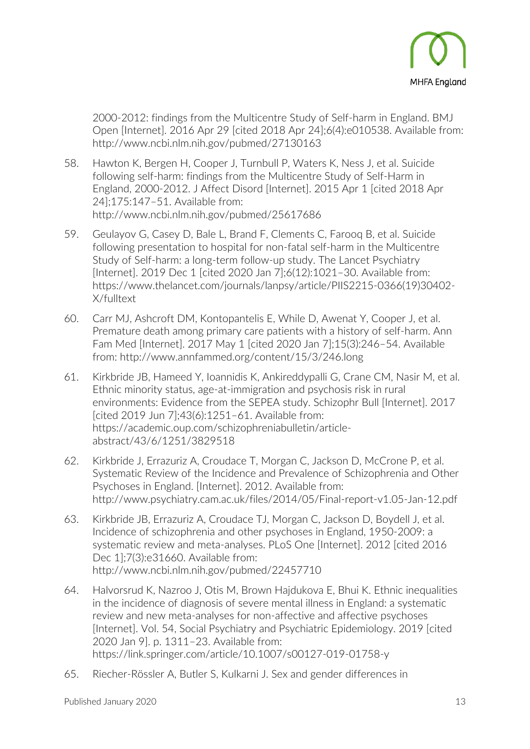

2000-2012: findings from the Multicentre Study of Self-harm in England. BMJ Open [Internet]. 2016 Apr 29 [cited 2018 Apr 24];6(4):e010538. Available from: http://www.ncbi.nlm.nih.gov/pubmed/27130163

- 58. Hawton K, Bergen H, Cooper J, Turnbull P, Waters K, Ness J, et al. Suicide following self-harm: findings from the Multicentre Study of Self-Harm in England, 2000-2012. J Affect Disord [Internet]. 2015 Apr 1 [cited 2018 Apr 24];175:147–51. Available from: http://www.ncbi.nlm.nih.gov/pubmed/25617686
- 59. Geulayov G, Casey D, Bale L, Brand F, Clements C, Farooq B, et al. Suicide following presentation to hospital for non-fatal self-harm in the Multicentre Study of Self-harm: a long-term follow-up study. The Lancet Psychiatry [Internet]. 2019 Dec 1 [cited 2020 Jan 7];6(12):1021–30. Available from: https://www.thelancet.com/journals/lanpsy/article/PIIS2215-0366(19)30402- X/fulltext
- 60. Carr MJ, Ashcroft DM, Kontopantelis E, While D, Awenat Y, Cooper J, et al. Premature death among primary care patients with a history of self-harm. Ann Fam Med [Internet]. 2017 May 1 [cited 2020 Jan 7];15(3):246–54. Available from: http://www.annfammed.org/content/15/3/246.long
- 61. Kirkbride JB, Hameed Y, Ioannidis K, Ankireddypalli G, Crane CM, Nasir M, et al. Ethnic minority status, age-at-immigration and psychosis risk in rural environments: Evidence from the SEPEA study. Schizophr Bull [Internet]. 2017 [cited 2019 Jun 7];43(6):1251–61. Available from: https://academic.oup.com/schizophreniabulletin/articleabstract/43/6/1251/3829518
- 62. Kirkbride J, Errazuriz A, Croudace T, Morgan C, Jackson D, McCrone P, et al. Systematic Review of the Incidence and Prevalence of Schizophrenia and Other Psychoses in England. [Internet]. 2012. Available from: http://www.psychiatry.cam.ac.uk/files/2014/05/Final-report-v1.05-Jan-12.pdf
- 63. Kirkbride JB, Errazuriz A, Croudace TJ, Morgan C, Jackson D, Boydell J, et al. Incidence of schizophrenia and other psychoses in England, 1950-2009: a systematic review and meta-analyses. PLoS One [Internet]. 2012 [cited 2016 Dec 1];7(3):e31660. Available from: http://www.ncbi.nlm.nih.gov/pubmed/22457710
- 64. Halvorsrud K, Nazroo J, Otis M, Brown Hajdukova E, Bhui K. Ethnic inequalities in the incidence of diagnosis of severe mental illness in England: a systematic review and new meta-analyses for non-affective and affective psychoses [Internet]. Vol. 54, Social Psychiatry and Psychiatric Epidemiology. 2019 [cited 2020 Jan 9]. p. 1311–23. Available from: https://link.springer.com/article/10.1007/s00127-019-01758-y
- 65. Riecher-Rössler A, Butler S, Kulkarni J. Sex and gender differences in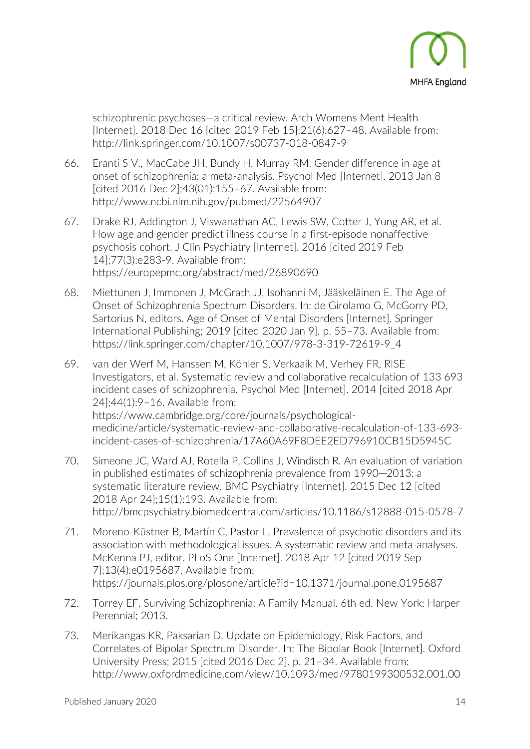

schizophrenic psychoses—a critical review. Arch Womens Ment Health [Internet]. 2018 Dec 16 [cited 2019 Feb 15];21(6):627-48. Available from: http://link.springer.com/10.1007/s00737-018-0847-9

- 66. Eranti S V., MacCabe JH, Bundy H, Murray RM. Gender difference in age at onset of schizophrenia: a meta-analysis. Psychol Med [Internet]. 2013 Jan 8 [cited 2016 Dec 2];43(01):155–67. Available from: http://www.ncbi.nlm.nih.gov/pubmed/22564907
- 67. Drake RJ, Addington J, Viswanathan AC, Lewis SW, Cotter J, Yung AR, et al. How age and gender predict illness course in a first-episode nonaffective psychosis cohort. J Clin Psychiatry [Internet]. 2016 [cited 2019 Feb 14];77(3):e283-9. Available from: https://europepmc.org/abstract/med/26890690
- 68. Miettunen J, Immonen J, McGrath JJ, Isohanni M, Jääskeläinen E. The Age of Onset of Schizophrenia Spectrum Disorders. In: de Girolamo G, McGorry PD, Sartorius N, editors. Age of Onset of Mental Disorders [Internet]. Springer International Publishing; 2019 [cited 2020 Jan 9]. p. 55–73. Available from: https://link.springer.com/chapter/10.1007/978-3-319-72619-9\_4
- 69. van der Werf M, Hanssen M, Köhler S, Verkaaik M, Verhey FR, RISE Investigators, et al. Systematic review and collaborative recalculation of 133 693 incident cases of schizophrenia. Psychol Med [Internet]. 2014 [cited 2018 Apr 24];44(1):9–16. Available from: https://www.cambridge.org/core/journals/psychologicalmedicine/article/systematic-review-and-collaborative-recalculation-of-133-693 incident-cases-of-schizophrenia/17A60A69F8DEE2ED796910CB15D5945C
- 70. Simeone JC, Ward AJ, Rotella P, Collins J, Windisch R. An evaluation of variation in published estimates of schizophrenia prevalence from 1990─2013: a systematic literature review. BMC Psychiatry [Internet]. 2015 Dec 12 [cited 2018 Apr 24];15(1):193. Available from: http://bmcpsychiatry.biomedcentral.com/articles/10.1186/s12888-015-0578-7
- 71. Moreno-Küstner B, Martín C, Pastor L. Prevalence of psychotic disorders and its association with methodological issues. A systematic review and meta-analyses. McKenna PJ, editor. PLoS One [Internet]. 2018 Apr 12 [cited 2019 Sep 7];13(4):e0195687. Available from: https://journals.plos.org/plosone/article?id=10.1371/journal.pone.0195687
- 72. Torrey EF. Surviving Schizophrenia: A Family Manual. 6th ed. New York: Harper Perennial; 2013.
- 73. Merikangas KR, Paksarian D. Update on Epidemiology, Risk Factors, and Correlates of Bipolar Spectrum Disorder. In: The Bipolar Book [Internet]. Oxford University Press; 2015 [cited 2016 Dec 2]. p. 21–34. Available from: http://www.oxfordmedicine.com/view/10.1093/med/9780199300532.001.00